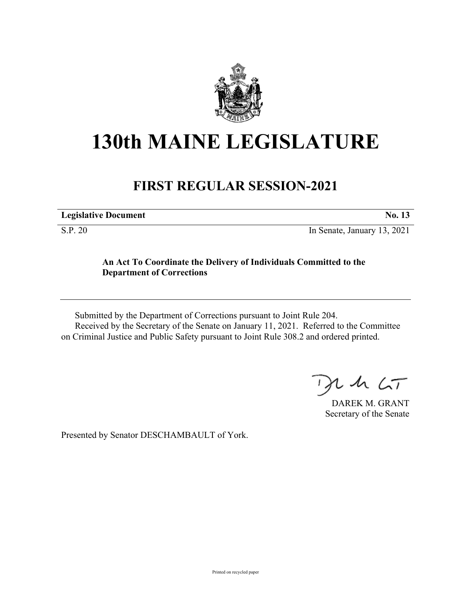

# **130th MAINE LEGISLATURE**

# **FIRST REGULAR SESSION-2021**

| <b>Legislative Document</b> | $\bf{N0.}$ |
|-----------------------------|------------|
|                             |            |

S.P. 20 In Senate, January 13, 2021

## **An Act To Coordinate the Delivery of Individuals Committed to the Department of Corrections**

Submitted by the Department of Corrections pursuant to Joint Rule 204. Received by the Secretary of the Senate on January 11, 2021. Referred to the Committee on Criminal Justice and Public Safety pursuant to Joint Rule 308.2 and ordered printed.

 $125$ 

DAREK M. GRANT Secretary of the Senate

Presented by Senator DESCHAMBAULT of York.